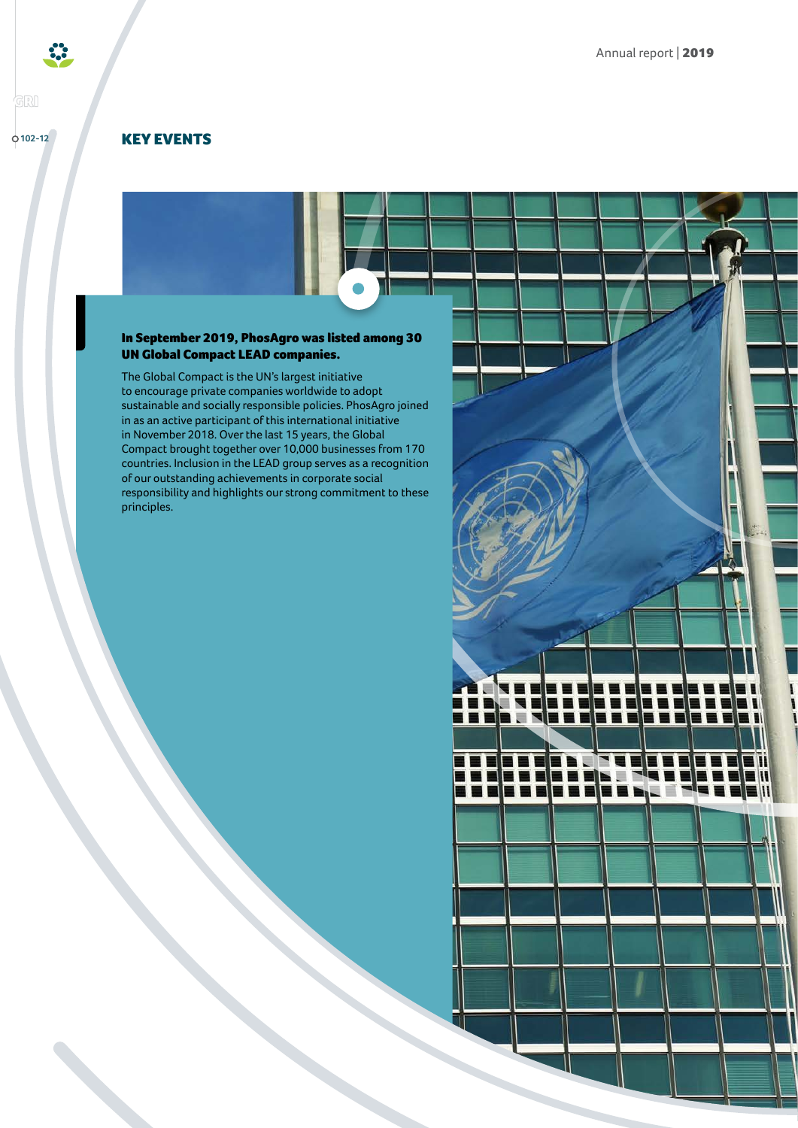KEY EVENTS

**102-12**

**GRI** 

## In September 2019, PhosAgro was listed among 30 UN Global Compact LEAD companies.

The Global Compact is the UN's largest initiative to encourage private companies worldwide to adopt sustainable and socially responsible policies. PhosAgro joined in as an active participant of this international initiative in November 2018. Over the last 15 years, the Global Compact brought together over 10,000 businesses from 170 countries. Inclusion in the LEAD group serves as a recognition of our outstanding achievements in corporate social responsibility and highlights our strong commitment to these principles.